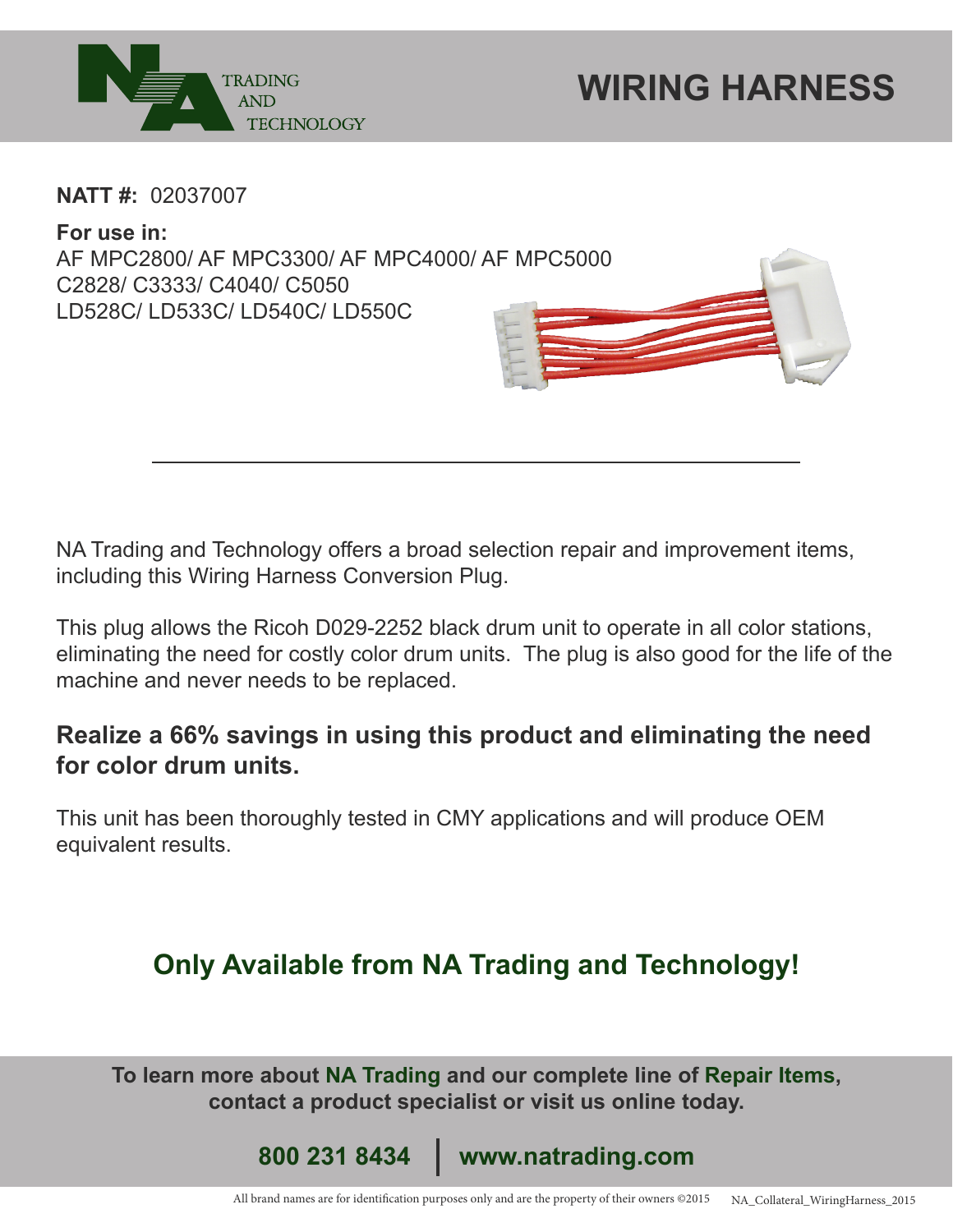

**NATT #:** 02037007

**For use in:**  AF MPC2800/ AF MPC3300/ AF MPC4000/ AF MPC5000 C2828/ C3333/ C4040/ C5050 LD528C/ LD533C/ LD540C/ LD550C

NA Trading and Technology offers a broad selection repair and improvement items, including this Wiring Harness Conversion Plug.

This plug allows the Ricoh D029-2252 black drum unit to operate in all color stations, eliminating the need for costly color drum units. The plug is also good for the life of the machine and never needs to be replaced.

## **Realize a 66% savings in using this product and eliminating the need for color drum units.**

This unit has been thoroughly tested in CMY applications and will produce OEM equivalent results.

## **Only Available from NA Trading and Technology!**

**To learn more about NA Trading and our complete line of Repair Items, contact a product specialist or visit us online today.**

**800 231 8434 www.natrading.com**